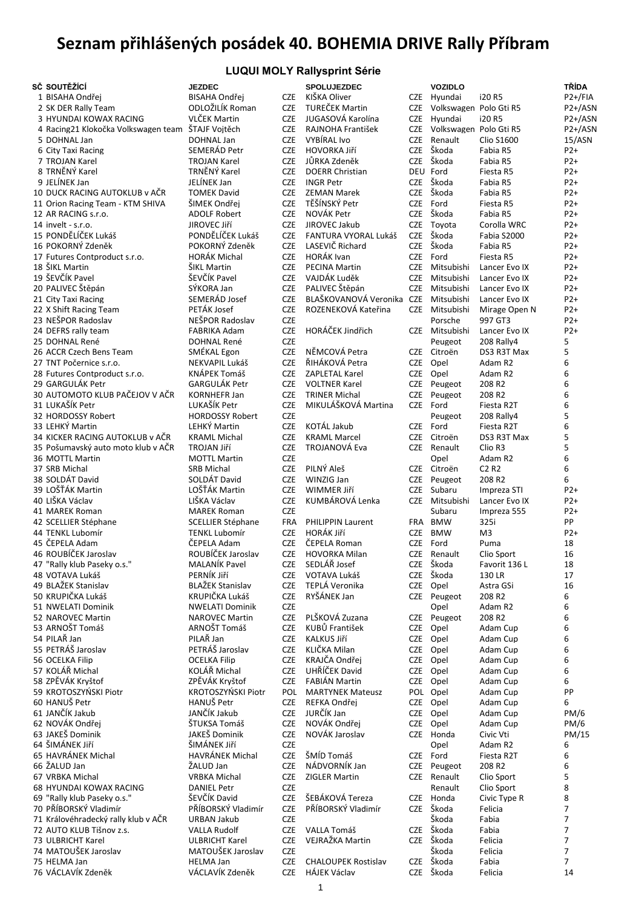## **Seznam přihlášených posádek 40. BOHEMIA DRIVE Rally Příbram**

| <b>LUQUI MOLY Rallysprint Série</b> |                 |            |                        |      |                        |                   |            |  |
|-------------------------------------|-----------------|------------|------------------------|------|------------------------|-------------------|------------|--|
| sč soutěžící                        | <b>JEZDEC</b>   |            | <b>SPOLUJEZDEC</b>     |      | <b>VOZIDLO</b>         |                   | TŘÍDA      |  |
| 1 BISAHA Ondřej                     | BISAHA Ondřej   | <b>CZE</b> | KIŠKA Oliver           | CZE  | Hvundai                | i20 R5            | $P2+$ /FIA |  |
| 2 SK DER Rally Team                 | ODLOŽILÍK Roman | <b>CZE</b> | TUREČEK Martin         | CZE. | Volkswagen Polo Gti R5 |                   | $P2+/AS$   |  |
| 3 HYUNDAI KOWAX RACING              | VLČEK Martin    | CZE.       | JUGASOVÁ Karolína      | CZE  | Hvundai                | i20 R5            | $P2+/AS$   |  |
| 4 Racing21 Klokočka Volkswagen team | ŠTAJF Voitěch   | <b>CZE</b> | RAJNOHA František      | CZE. | Volkswagen Polo Gti R5 |                   | $P2+/AS$   |  |
| 5 DOHNAL Jan                        | DOHNAL Jan      | <b>CZE</b> | VYBÍRAL Ivo            | CZE  | Renault                | <b>Clio S1600</b> | 15/ASN     |  |
| 6 City Taxi Racing                  | SEMERÁD Petr    | CZE        | <b>HOVORKA JIří</b>    |      | CZE Škoda              | Fabia R5          | $P2+$      |  |
| 7 TROJAN Karel                      | TROJAN Karel    | <b>CZE</b> | JŮRKA Zdeněk           | CZE. | Škoda                  | Fabia R5          | $P2+$      |  |
| 8 TRNĚNÝ Karel                      | TRNĚNÝ Karel    | <b>CZE</b> | <b>DOERR Christian</b> |      | DEU Ford               | Fiesta R5         | $P2+$      |  |
| 9 JELÍNEK Jan                       | JELÍNEK Jan     | CZE        | <b>INGR Petr</b>       |      | CZE Škoda              | Fabia R5          | $P2+$      |  |

| SČ SOUTĚŽÍCÍ                                      | <b>JEZDEC</b>                    |                          | <b>SPOLUJEZDEC</b>                   |                          |
|---------------------------------------------------|----------------------------------|--------------------------|--------------------------------------|--------------------------|
| 1 BISAHA Ondřej                                   | <b>BISAHA Ondřej</b>             | <b>CZE</b>               | KIŠKA Oliver                         | <b>CZE</b>               |
| 2 SK DER Rally Team                               | ODLOŽILÍK Roman                  | <b>CZE</b>               | TUREČEK Martin                       | <b>CZE</b>               |
| 3 HYUNDAI KOWAX RACING                            | VLČEK Martin                     | <b>CZE</b>               | JUGASOVÁ Karolína                    | <b>CZE</b>               |
| 4 Racing21 Klokočka Volkswagen team ŠTAJF Vojtěch |                                  | <b>CZE</b>               | RAJNOHA František                    | <b>CZE</b>               |
| 5 DOHNAL Jan                                      | DOHNAL Jan                       | <b>CZE</b>               | <b>VYBÍRAL Ivo</b>                   | <b>CZE</b>               |
| 6 City Taxi Racing                                | SEMERÁD Petr                     | <b>CZE</b>               | <b>HOVORKA Jiří</b>                  | <b>CZE</b>               |
| 7 TROJAN Karel                                    | <b>TROJAN Karel</b>              | <b>CZE</b>               | JŮRKA Zdeněk                         | <b>CZE</b>               |
| 8 TRNĚNÝ Karel                                    | TRNĚNÝ Karel                     | <b>CZE</b>               | <b>DOERR Christian</b>               | DEL                      |
| 9 JELÍNEK Jan                                     | JELÍNEK Jan                      | <b>CZE</b>               | <b>INGR Petr</b>                     | <b>CZE</b>               |
| 10 DUCK RACING AUTOKLUB v AČR                     | <b>TOMEK David</b>               | <b>CZE</b>               | <b>ZEMAN Marek</b>                   | <b>CZE</b>               |
| 11 Orion Racing Team - KTM SHIVA                  | ŠIMEK Ondřej                     | <b>CZE</b>               | TĚŠÍNSKÝ Petr                        | <b>CZE</b>               |
| 12 AR RACING s.r.o.                               | <b>ADOLF Robert</b>              | <b>CZE</b>               | NOVÁK Petr                           | <b>CZE</b>               |
| 14 invelt - s.r.o.                                | JIROVEC Jiří                     | <b>CZE</b>               | JIROVEC Jakub                        | <b>CZE</b>               |
| 15 PONDĚLÍČEK Lukáš                               | PONDĚLÍČEK Lukáš                 | <b>CZE</b>               | FANTURA VYORAL Lukáš                 | <b>CZE</b>               |
| 16 POKORNÝ Zdeněk                                 | POKORNÝ Zdeněk                   | <b>CZE</b>               | LASEVIČ Richard                      | <b>CZE</b>               |
| 17 Futures Contproduct s.r.o.                     | <b>HORÁK Michal</b>              | <b>CZE</b>               | <b>HORÁK Ivan</b>                    | <b>CZE</b>               |
| 18 ŠIKL Martin                                    | ŠIKL Martin                      | <b>CZE</b>               | <b>PECINA Martin</b>                 | <b>CZE</b>               |
| 19 ŠEVČÍK Pavel                                   | ŠEVČÍK Pavel                     | <b>CZE</b>               | VAJDÁK Luděk                         | <b>CZE</b>               |
| 20 PALIVEC Štěpán                                 | SÝKORA Jan                       | <b>CZE</b>               | PALIVEC Štěpán                       | <b>CZE</b>               |
| 21 City Taxi Racing                               | SEMERÁD Josef                    | <b>CZE</b>               | BLAŠKOVANOVÁ Veronika                | <b>CZE</b>               |
| 22 X Shift Racing Team                            | PETÁK Josef                      | <b>CZE</b>               | ROZENEKOVÁ Kateřina                  | <b>CZE</b>               |
| 23 NEŠPOR Radoslav                                | NEŠPOR Radoslav                  | <b>CZE</b>               |                                      |                          |
| 24 DEFRS rally team                               | <b>FABRIKA Adam</b>              | <b>CZE</b>               | HORÁČEK Jindřich                     | <b>CZE</b>               |
| 25 DOHNAL René                                    | DOHNAL René                      | <b>CZE</b>               |                                      |                          |
| 26 ACCR Czech Bens Team                           | SMÉKAL Egon                      | <b>CZE</b>               | NĚMCOVÁ Petra                        | <b>CZE</b>               |
| 27 TNT Počernice s.r.o.                           | NEKVAPIL Lukáš                   | <b>CZE</b>               | ŘIHÁKOVÁ Petra                       | <b>CZE</b>               |
| 28 Futures Contproduct s.r.o.                     | KNÁPEK Tomáš                     | <b>CZE</b>               | ZAPLETAL Karel                       | <b>CZE</b>               |
| 29 GARGULÁK Petr                                  | <b>GARGULÁK Petr</b>             | <b>CZE</b>               | <b>VOLTNER Karel</b>                 | <b>CZE</b>               |
| 30 AUTOMOTO KLUB PAČEJOV V AČR                    | KORNHEFR Jan                     | <b>CZE</b>               | <b>TRINER Michal</b>                 | <b>CZE</b>               |
| 31 LUKAŠÍK Petr                                   | LUKAŠÍK Petr                     | <b>CZE</b>               | MIKULÁŠKOVÁ Martina                  | <b>CZE</b>               |
| 32 HORDOSSY Robert                                | <b>HORDOSSY Robert</b>           | <b>CZE</b>               |                                      |                          |
| 33 LEHKÝ Martin                                   | LEHKÝ Martin                     | <b>CZE</b>               | KOTÁL Jakub                          | <b>CZE</b>               |
| 34 KICKER RACING AUTOKLUB v AČR                   | <b>KRAML Michal</b>              | <b>CZE</b>               | <b>KRAML Marcel</b>                  | <b>CZE</b>               |
| 35 Pošumavský auto moto klub v AČR                | TROJAN Jiří                      | <b>CZE</b>               | TROJANOVÁ Eva                        | <b>CZE</b>               |
| 36 MOTTL Martin                                   | <b>MOTTL Martin</b>              | <b>CZE</b>               |                                      |                          |
| 37 SRB Michal                                     | <b>SRB Michal</b>                | <b>CZE</b>               | PILNÝ Aleš                           | <b>CZE</b>               |
| 38 SOLDÁT David                                   | SOLDÁT David                     | <b>CZE</b>               | WINZIG Jan                           | <b>CZE</b>               |
| 39 LOŠŤÁK Martin                                  | LOŠŤÁK Martin                    | <b>CZE</b>               | WIMMER Jiří                          | <b>CZE</b>               |
| 40 LIŠKA Václav                                   | LIŠKA Václav                     | <b>CZE</b>               | KUMBÁROVÁ Lenka                      | <b>CZE</b>               |
| 41 MAREK Roman                                    | <b>MAREK Roman</b>               | <b>CZE</b>               |                                      |                          |
| 42 SCELLIER Stéphane                              | <b>SCELLIER Stéphane</b>         | <b>FRA</b>               | <b>PHILIPPIN Laurent</b>             | FRA                      |
| 44 TENKL Lubomír<br>45 ČEPELA Adam                | <b>TENKL Lubomír</b>             | <b>CZE</b>               | HORÁK Jiří                           | <b>CZE</b>               |
| 46 ROUBÍČEK Jaroslav                              | ČEPELA Adam<br>ROUBÍČEK Jaroslav | <b>CZE</b><br><b>CZE</b> | ČEPELA Roman<br><b>HOVORKA Milan</b> | <b>CZE</b>               |
|                                                   | MALANÍK Pavel                    | <b>CZE</b>               | SEDLÁŘ Josef                         | <b>CZE</b><br><b>CZE</b> |
| 47 "Rally klub Paseky o.s."<br>48 VOTAVA Lukáš    | PERNÍK Jiří                      | <b>CZE</b>               | VOTAVA Lukáš                         | <b>CZE</b>               |
| 49 BLAŽEK Stanislav                               | <b>BLAŽEK Stanislav</b>          | <b>CZE</b>               | TEPLÁ Veronika                       | <b>CZE</b>               |
| 50 KRUPIČKA Lukáš                                 | KRUPIČKA Lukáš                   | <b>CZE</b>               | RYŠÁNEK Jan                          | <b>CZE</b>               |
| 51 NWELATI Dominik                                | <b>NWELATI Dominik</b>           | <b>CZE</b>               |                                      |                          |
| 52 NAROVEC Martin                                 | <b>NAROVEC Martin</b>            | <b>CZE</b>               | PLŠKOVÁ Zuzana                       | <b>CZE</b>               |
| 53 ARNOŠT Tomáš                                   | ARNOŠT Tomáš                     | <b>CZE</b>               | KUBŮ František                       | <b>CZE</b>               |
| 54 PILAŘ Jan                                      | PILAŘ Jan                        | <b>CZE</b>               | <b>KALKUS Jiří</b>                   | <b>CZE</b>               |
| 55 PETRÁŠ Jaroslav                                | PETRÁŠ Jaroslav                  | <b>CZE</b>               | KLIČKA Milan                         | <b>CZE</b>               |
| 56 OCELKA Filip                                   | <b>OCELKA Filip</b>              | <b>CZE</b>               | KRAJČA Ondřei                        | <b>CZE</b>               |
| 57 KOLÁŘ Michal                                   | KOLÁŘ Michal                     | <b>CZE</b>               | UHŘÍČEK David                        | <b>CZE</b>               |
| 58 ZPĚVÁK Kryštof                                 | ZPĚVÁK Krvštof                   | <b>CZE</b>               | <b>FABIÁN Martin</b>                 | <b>CZE</b>               |
| 59 KROTOSZYŃSKI Piotr                             | KROTOSZYŃSKI Piotr               | POL                      | <b>MARTYNEK Mateusz</b>              | POL                      |
| 60 HANUŠ Petr                                     | HANUŠ Petr                       | <b>CZE</b>               | REFKA Ondřei                         | <b>CZE</b>               |
| 61 JANČÍK Jakub                                   | JANČÍK Jakub                     | <b>CZE</b>               | JURČÍK Jan                           | <b>CZE</b>               |
| 62 NOVÁK Ondřej                                   | ŠTUKSA Tomáš                     | <b>CZE</b>               | NOVÁK Ondřej                         | <b>CZE</b>               |
| 63 JAKEŠ Dominik                                  | JAKEŠ Dominik                    | <b>CZE</b>               | NOVÁK Jaroslav                       | <b>CZE</b>               |
| 64 ŠIMÁNEK JIří                                   | ŠIMÁNEK Jiří                     | <b>CZE</b>               |                                      |                          |
| 65 HAVRÁNEK Michal                                | HAVRÁNEK Michal                  | <b>CZE</b>               | ŠMÍD Tomáš                           | <b>CZE</b>               |
| 66 ŽALUD Jan                                      | ŽALUD Jan                        | <b>CZE</b>               | NÁDVORNÍK Jan                        | <b>CZE</b>               |
| 67 VRBKA Michal                                   | <b>VRBKA Michal</b>              | <b>CZE</b>               | <b>ZIGLER Martin</b>                 | <b>CZE</b>               |
| 68 HYUNDAI KOWAX RACING                           | <b>DANIEL Petr</b>               | <b>CZE</b>               |                                      |                          |
| 69 "Rally klub Paseky o.s."                       | ŠEVČÍK David                     | <b>CZE</b>               | ŠEBÁKOVÁ Tereza                      | <b>CZE</b>               |
| 70 PŘÍBORSKÝ Vladimír                             | PŘÍBORSKÝ Vladimír               | <b>CZE</b>               | PŘÍBORSKÝ Vladimír                   | <b>CZE</b>               |
| 71 Královéhradecký rally klub v AČR               | URBAN Jakub                      | <b>CZE</b>               |                                      |                          |
| 72 AUTO KLUB Tišnov z.s.                          | <b>VALLA Rudolf</b>              | <b>CZE</b>               | VALLA Tomáš                          | <b>CZE</b>               |
| 73 ULBRICHT Karel                                 | <b>ULBRICHT Karel</b>            | <b>CZE</b>               | VEJRAŽKA Martin                      | <b>CZE</b>               |
| 74 MATOUŠEK Jaroslav                              | MATOUŠEK Jaroslav                | <b>CZE</b>               |                                      |                          |
| 75 HELMA Jan                                      | <b>HELMA Jan</b>                 | <b>CZE</b>               | <b>CHALOUPEK Rostislav</b>           | <b>CZE</b>               |
| 76 VÁCLAVÍK Zdeněk                                | VÁCLAVÍK Zdeněk                  | <b>CZE</b>               | <b>HÁJEK Václav</b>                  | <b>CZE</b>               |
|                                                   |                                  |                          |                                      |                          |

| sč soutěžící                                      | <b>JEZDEC</b>           |            | <b>SPOLUJEZDEC</b>         |            | <b>VOZIDLO</b>             |                               | <b>TŘÍDA</b>   |
|---------------------------------------------------|-------------------------|------------|----------------------------|------------|----------------------------|-------------------------------|----------------|
| 1 BISAHA Ondřej                                   | <b>BISAHA Ondřej</b>    | <b>CZE</b> | KIŠKA Oliver               |            | CZE Hvundai                | i20 R5                        | $P2+$ /FIA     |
| 2 SK DER Rally Team                               | ODLOŽILÍK Roman         | <b>CZE</b> | TUREČEK Martin             |            | CZE Volkswagen Polo Gti R5 |                               | $P2+/ASN$      |
| 3 HYUNDAI KOWAX RACING                            | VLČEK Martin            | <b>CZE</b> | JUGASOVÁ Karolína          |            | CZE Hyundai                | i20 R5                        | $P2+/ASN$      |
| 4 Racing21 Klokočka Volkswagen team ŠTAJF Vojtěch |                         | <b>CZE</b> | RAJNOHA František          |            | CZE Volkswagen Polo Gti R5 |                               | $P2+/ASN$      |
| 5 DOHNAL Jan                                      | DOHNAL Jan              | <b>CZE</b> | VYBÍRAL Ivo                | <b>CZE</b> | Renault                    | <b>Clio S1600</b>             | 15/ASN         |
|                                                   | SEMERÁD Petr            | <b>CZE</b> | HOVORKA Jiří               |            | CZE Škoda                  |                               |                |
| 6 City Taxi Racing                                |                         |            |                            | <b>CZE</b> | Škoda                      | Fabia R5                      | P2+<br>$P2+$   |
| 7 TROJAN Karel                                    | <b>TROJAN Karel</b>     | <b>CZE</b> | JŮRKA Zdeněk               |            |                            | Fabia R5                      |                |
| 8 TRNĚNÝ Karel                                    | TRNĚNÝ Karel            | <b>CZE</b> | <b>DOERR Christian</b>     |            | DEU Ford                   | Fiesta R5                     | $P2+$          |
| 9 JELÍNEK Jan                                     | JELÍNEK Jan             | <b>CZE</b> | <b>INGR Petr</b>           |            | CZE Škoda                  | Fabia R5                      | $P2+$          |
| 10 DUCK RACING AUTOKLUB v AČR                     | <b>TOMEK David</b>      | <b>CZE</b> | <b>ZEMAN Marek</b>         | <b>CZE</b> | Škoda                      | Fabia R5                      | $P2+$          |
| 11 Orion Racing Team - KTM SHIVA                  | ŠIMEK Ondřej            | <b>CZE</b> | TĚŠÍNSKÝ Petr              |            | CZE Ford                   | Fiesta R5                     | $P2+$          |
| 12 AR RACING s.r.o.                               | <b>ADOLF Robert</b>     | <b>CZE</b> | NOVÁK Petr                 |            | CZE Škoda                  | Fabia R5                      | $P2+$          |
| 14 invelt - s.r.o.                                | JIROVEC Jiří            | <b>CZE</b> | JIROVEC Jakub              | <b>CZE</b> | Toyota                     | Corolla WRC                   | $P2+$          |
| 15 PONDĚLÍČEK Lukáš                               | PONDĚLÍČEK Lukáš        | <b>CZE</b> | FANTURA VYORAL Lukáš       |            | CZE Škoda                  | Fabia S2000                   | $P2+$          |
| 16 POKORNÝ Zdeněk                                 | POKORNÝ Zdeněk          | <b>CZE</b> | LASEVIČ Richard            |            | CZE Škoda                  | Fabia R5                      | $P2+$          |
| 17 Futures Contproduct s.r.o.                     | <b>HORÁK Michal</b>     | <b>CZE</b> | HORÁK Ivan                 | <b>CZE</b> | Ford                       | Fiesta R5                     | $P2+$          |
| 18 ŠIKL Martin                                    | ŠIKL Martin             | <b>CZE</b> | <b>PECINA Martin</b>       |            | CZE Mitsubishi             | Lancer Evo IX                 | $P2+$          |
| 19 ŠEVČÍK Pavel                                   | ŠEVČÍK Pavel            | <b>CZE</b> | VAJDÁK Luděk               | <b>CZE</b> | Mitsubishi                 | Lancer Evo IX                 | $P2+$          |
| 20 PALIVEC Štěpán                                 | SÝKORA Jan              | <b>CZE</b> | PALIVEC Štěpán             |            | CZE Mitsubishi             | Lancer Evo IX                 | $P2+$          |
|                                                   | SEMERÁD Josef           | <b>CZE</b> | BLAŠKOVANOVÁ Veronika      |            |                            |                               |                |
| 21 City Taxi Racing                               |                         |            |                            | CZE        | Mitsubishi                 | Lancer Evo IX                 | $P2+$          |
| 22 X Shift Racing Team                            | PETÁK Josef             | <b>CZE</b> | ROZENEKOVÁ Kateřina        | <b>CZE</b> | Mitsubishi                 | Mirage Open N                 | $P2+$          |
| 23 NEŠPOR Radoslav                                | NEŠPOR Radoslav         | <b>CZE</b> |                            |            | Porsche                    | 997 GT3                       | $P2+$          |
| 24 DEFRS rally team                               | <b>FABRIKA Adam</b>     | <b>CZE</b> | HORÁČEK Jindřich           |            | CZE Mitsubishi             | Lancer Evo IX                 | $P2+$          |
| 25 DOHNAL René                                    | <b>DOHNAL René</b>      | <b>CZE</b> |                            |            | Peugeot                    | 208 Rally4                    | 5              |
| 26 ACCR Czech Bens Team                           | SMÉKAL Egon             | <b>CZE</b> | NĚMCOVÁ Petra              | <b>CZE</b> | Citroën                    | DS3 R3T Max                   | 5              |
| 27 TNT Počernice s.r.o.                           | NEKVAPIL Lukáš          | <b>CZE</b> | ŘIHÁKOVÁ Petra             |            | CZE Opel                   | Adam R2                       | 6              |
| 28 Futures Contproduct s.r.o.                     | KNÁPEK Tomáš            | <b>CZE</b> | <b>ZAPLETAL Karel</b>      |            | CZE Opel                   | Adam R2                       | 6              |
| 29 GARGULÁK Petr                                  | GARGULÁK Petr           | <b>CZE</b> | <b>VOLTNER Karel</b>       | <b>CZE</b> | Peugeot                    | 208 R2                        | 6              |
| 30 AUTOMOTO KLUB PAČEJOV V AČR                    | <b>KORNHEFR Jan</b>     | <b>CZE</b> | <b>TRINER Michal</b>       | <b>CZE</b> | Peugeot                    | 208 R <sub>2</sub>            | 6              |
| 31 LUKAŠÍK Petr                                   | LUKAŠÍK Petr            | <b>CZE</b> | MIKULÁŠKOVÁ Martina        | CZE Ford   |                            | Fiesta R2T                    | 6              |
| 32 HORDOSSY Robert                                | <b>HORDOSSY Robert</b>  | <b>CZE</b> |                            |            | Peugeot                    | 208 Rally4                    | 5              |
| 33 LEHKÝ Martin                                   | LEHKÝ Martin            |            | KOTÁL Jakub                |            |                            |                               | 6              |
|                                                   |                         | <b>CZE</b> |                            | CZE Ford   |                            | Fiesta R2T                    |                |
| 34 KICKER RACING AUTOKLUB v AČR                   | <b>KRAML Michal</b>     | <b>CZE</b> | <b>KRAML Marcel</b>        | <b>CZE</b> | Citroën                    | DS3 R3T Max                   | 5              |
| 35 Pošumavský auto moto klub v AČR                | TROJAN Jiří             | <b>CZE</b> | TROJANOVÁ Eva              |            | CZE Renault                | Clio R3                       | 5              |
| 36 MOTTL Martin                                   | <b>MOTTL Martin</b>     | <b>CZE</b> |                            |            | Opel                       | Adam R2                       | 6              |
| 37 SRB Michal                                     | <b>SRB Michal</b>       | <b>CZE</b> | PILNÝ Aleš                 |            | CZE Citroën                | C <sub>2</sub> R <sub>2</sub> | 6              |
| 38 SOLDÁT David                                   | SOLDÁT David            | <b>CZE</b> | WINZIG Jan                 |            | CZE Peugeot                | 208 R2                        | 6              |
| 39 LOŠŤÁK Martin                                  | LOŠŤÁK Martin           | <b>CZE</b> | WIMMER Jiří                | <b>CZE</b> | Subaru                     | Impreza STI                   | $P2+$          |
| 40 LIŠKA Václav                                   | LIŠKA Václav            | <b>CZE</b> | KUMBÁROVÁ Lenka            |            | CZE Mitsubishi             | Lancer Evo IX                 | $P2+$          |
| 41 MAREK Roman                                    | <b>MAREK Roman</b>      | <b>CZE</b> |                            |            | Subaru                     | Impreza 555                   | $P2+$          |
| 42 SCELLIER Stéphane                              | SCELLIER Stéphane       | <b>FRA</b> | <b>PHILIPPIN Laurent</b>   |            | FRA BMW                    | 325i                          | PP             |
| 44 TENKL Lubomír                                  | <b>TENKL Lubomír</b>    | <b>CZE</b> | HORÁK Jiří                 | <b>CZE</b> | <b>BMW</b>                 | M <sub>3</sub>                | $P2+$          |
| 45 ČEPELA Adam                                    | ČEPELA Adam             | <b>CZE</b> | ČEPELA Roman               |            | CZE Ford                   | Puma                          | 18             |
| 46 ROUBÍČEK Jaroslav                              | ROUBÍČEK Jaroslav       | <b>CZE</b> | <b>HOVORKA Milan</b>       |            | CZE Renault                | Clio Sport                    | 16             |
| 47 "Rally klub Paseky o.s."                       | MALANÍK Pavel           | <b>CZE</b> | SEDLÁŘ Josef               |            | CZE Škoda                  | Favorit 136 L                 | 18             |
|                                                   |                         |            |                            |            |                            |                               |                |
| 48 VOTAVA Lukáš                                   | PERNÍK Jiří             | <b>CZE</b> | VOTAVA Lukáš               |            | CZE Škoda                  | 130 LR                        | 17             |
| 49 BLAŽEK Stanislav                               | <b>BLAŽEK Stanislav</b> | <b>CZE</b> | TEPLÁ Veronika             | <b>CZE</b> | Opel                       | Astra GSi                     | 16             |
| 50 KRUPIČKA Lukáš                                 | KRUPIČKA Lukáš          | <b>CZE</b> | RYŠÁNEK Jan                |            | CZE Peugeot                | 208 R2                        | 6              |
| 51 NWELATI Dominik                                | <b>NWELATI Dominik</b>  | <b>CZE</b> |                            |            | Opel                       | Adam R2                       | 6              |
| 52 NAROVEC Martin                                 | <b>NAROVEC Martin</b>   | <b>CZE</b> | PLŠKOVÁ Zuzana             |            | CZE Peugeot                | 208 R2                        | 6              |
| 53 ARNOŠT Tomáš                                   | ARNOŠT Tomáš            | <b>CZE</b> | KUBŮ František             |            | CZE Opel                   | Adam Cup                      | 6              |
| 54 PILAŘ Jan                                      | PILAŘ Jan               | <b>CZE</b> | <b>KALKUS Jiří</b>         |            | CZE Opel                   | Adam Cup                      | 6              |
| 55 PETRÁŠ Jaroslav                                | PETRÁŠ Jaroslav         | <b>CZE</b> | KLIČKA Milan               |            | CZE Opel                   | Adam Cup                      | 6              |
| 56 OCELKA Filip                                   | <b>OCELKA Filip</b>     | <b>CZE</b> | KRAJČA Ondřej              |            | CZE Opel                   | Adam Cup                      | 6              |
| 57 KOLÁŘ Michal                                   | KOLÁŘ Michal            | <b>CZE</b> | UHŘÍČEK David              | <b>CZE</b> | Opel                       | Adam Cup                      | 6              |
| 58 ZPĚVÁK Kryštof                                 | ZPĚVÁK Kryštof          | <b>CZE</b> | FABIÁN Martin              |            | CZE Opel                   | Adam Cup                      | 6              |
| 59 KROTOSZYŃSKI Piotr                             | KROTOSZYŃSKI Piotr      | POL        | <b>MARTYNEK Mateusz</b>    |            | POL Opel                   | Adam Cup                      | PP             |
| 60 HANUŠ Petr                                     | HANUŠ Petr              | <b>CZE</b> | REFKA Ondřej               |            | CZE Opel                   | Adam Cup                      | 6              |
| 61 JANČÍK Jakub                                   | JANČÍK Jakub            | <b>CZE</b> | JURČÍK Jan                 |            |                            |                               |                |
|                                                   |                         |            |                            |            | CZE Opel                   | Adam Cup                      | <b>PM/6</b>    |
| 62 NOVÁK Ondřej                                   | ŠTUKSA Tomáš            | <b>CZE</b> | NOVÁK Ondřej               | <b>CZE</b> | Opel                       | Adam Cup                      | PM/6           |
| 63 JAKEŠ Dominik                                  | JAKEŠ Dominik           | <b>CZE</b> | NOVÁK Jaroslav             |            | CZE Honda                  | Civic Vti                     | PM/15          |
| 64 ŠIMÁNEK Jiří                                   | ŠIMÁNEK JIří            | <b>CZE</b> |                            |            | Opel                       | Adam R2                       | 6              |
| 65 HAVRÁNEK Michal                                | HAVRÁNEK Michal         | <b>CZE</b> | ŠMÍD Tomáš                 |            | CZE Ford                   | Fiesta R2T                    | 6              |
| 66 ŽALUD Jan                                      | ŽALUD Jan               | <b>CZE</b> | NÁDVORNÍK Jan              |            | CZE Peugeot                | 208 R <sub>2</sub>            | 6              |
| 67 VRBKA Michal                                   | <b>VRBKA Michal</b>     | <b>CZE</b> | <b>ZIGLER Martin</b>       |            | CZE Renault                | Clio Sport                    | 5              |
| 68 HYUNDAI KOWAX RACING                           | <b>DANIEL Petr</b>      | <b>CZE</b> |                            |            | Renault                    | Clio Sport                    | 8              |
| 69 "Rally klub Paseky o.s."                       | ŠEVČÍK David            | <b>CZE</b> | ŠEBÁKOVÁ Tereza            |            | CZE Honda                  | Civic Type R                  | 8              |
| 70 PŘÍBORSKÝ Vladimír                             | PŘÍBORSKÝ Vladimír      | <b>CZE</b> | PŘÍBORSKÝ Vladimír         |            | CZE Škoda                  | Felicia                       | 7              |
| 71 Královéhradecký rally klub v AČR               | <b>URBAN Jakub</b>      | <b>CZE</b> |                            |            | Škoda                      | Fabia                         | 7              |
| 72 AUTO KLUB Tišnov z.s.                          | <b>VALLA Rudolf</b>     | <b>CZE</b> | VALLA Tomáš                |            | CZE Škoda                  | Fabia                         | 7              |
| 73 ULBRICHT Karel                                 | <b>ULBRICHT Karel</b>   | <b>CZE</b> | VEJRAŽKA Martin            |            | CZE Škoda                  | Felicia                       | 7              |
| 74 MATOUŠEK Jaroslav                              | MATOUŠEK Jaroslav       | <b>CZE</b> |                            |            | Škoda                      | Felicia                       | $\overline{7}$ |
| 75 HELMA Jan                                      | <b>HELMA Jan</b>        | <b>CZE</b> | <b>CHALOUPEK Rostislav</b> |            | CZE Škoda                  | Fabia                         | $\overline{7}$ |
|                                                   |                         |            |                            |            |                            |                               |                |
| 76 VÁCLAVÍK Zdeněk                                | VÁCLAVÍK Zdeněk         | <b>CZE</b> | <b>HÁJEK Václav</b>        |            | CZE Škoda                  | Felicia                       | 14             |